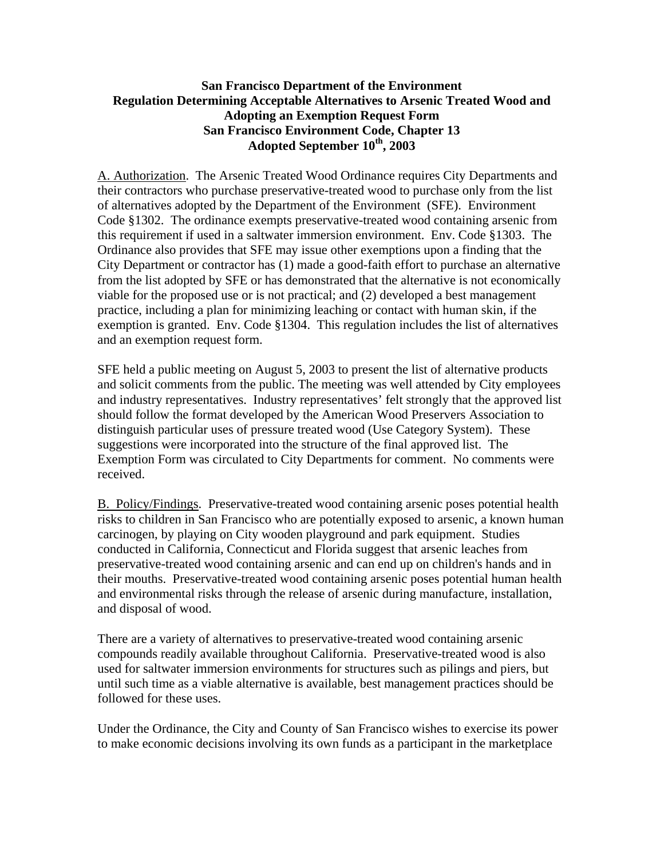## **San Francisco Department of the Environment Regulation Determining Acceptable Alternatives to Arsenic Treated Wood and Adopting an Exemption Request Form San Francisco Environment Code, Chapter 13 Adopted September 10th, 2003**

A. Authorization. The Arsenic Treated Wood Ordinance requires City Departments and their contractors who purchase preservative-treated wood to purchase only from the list of alternatives adopted by the Department of the Environment (SFE). Environment Code §1302. The ordinance exempts preservative-treated wood containing arsenic from this requirement if used in a saltwater immersion environment. Env. Code §1303. The Ordinance also provides that SFE may issue other exemptions upon a finding that the City Department or contractor has (1) made a good-faith effort to purchase an alternative from the list adopted by SFE or has demonstrated that the alternative is not economically viable for the proposed use or is not practical; and (2) developed a best management practice, including a plan for minimizing leaching or contact with human skin, if the exemption is granted. Env. Code §1304. This regulation includes the list of alternatives and an exemption request form.

SFE held a public meeting on August 5, 2003 to present the list of alternative products and solicit comments from the public. The meeting was well attended by City employees and industry representatives. Industry representatives' felt strongly that the approved list should follow the format developed by the American Wood Preservers Association to distinguish particular uses of pressure treated wood (Use Category System). These suggestions were incorporated into the structure of the final approved list. The Exemption Form was circulated to City Departments for comment. No comments were received.

B. Policy/Findings. Preservative-treated wood containing arsenic poses potential health risks to children in San Francisco who are potentially exposed to arsenic, a known human carcinogen, by playing on City wooden playground and park equipment. Studies conducted in California, Connecticut and Florida suggest that arsenic leaches from preservative-treated wood containing arsenic and can end up on children's hands and in their mouths. Preservative-treated wood containing arsenic poses potential human health and environmental risks through the release of arsenic during manufacture, installation, and disposal of wood.

There are a variety of alternatives to preservative-treated wood containing arsenic compounds readily available throughout California. Preservative-treated wood is also used for saltwater immersion environments for structures such as pilings and piers, but until such time as a viable alternative is available, best management practices should be followed for these uses.

Under the Ordinance, the City and County of San Francisco wishes to exercise its power to make economic decisions involving its own funds as a participant in the marketplace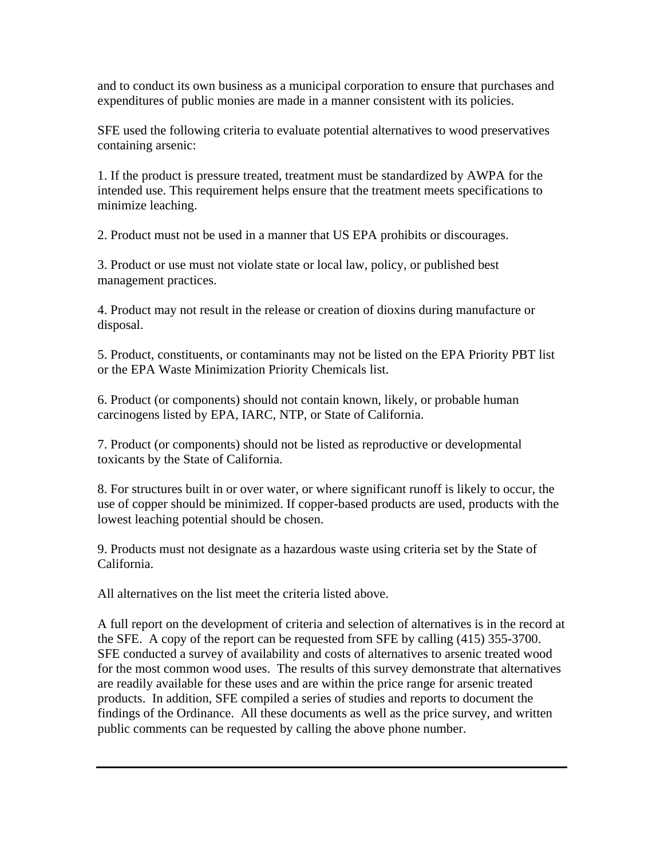and to conduct its own business as a municipal corporation to ensure that purchases and expenditures of public monies are made in a manner consistent with its policies.

SFE used the following criteria to evaluate potential alternatives to wood preservatives containing arsenic:

1. If the product is pressure treated, treatment must be standardized by AWPA for the intended use. This requirement helps ensure that the treatment meets specifications to minimize leaching.

2. Product must not be used in a manner that US EPA prohibits or discourages.

3. Product or use must not violate state or local law, policy, or published best management practices.

4. Product may not result in the release or creation of dioxins during manufacture or disposal.

5. Product, constituents, or contaminants may not be listed on the EPA Priority PBT list or the EPA Waste Minimization Priority Chemicals list.

6. Product (or components) should not contain known, likely, or probable human carcinogens listed by EPA, IARC, NTP, or State of California.

7. Product (or components) should not be listed as reproductive or developmental toxicants by the State of California.

8. For structures built in or over water, or where significant runoff is likely to occur, the use of copper should be minimized. If copper-based products are used, products with the lowest leaching potential should be chosen.

9. Products must not designate as a hazardous waste using criteria set by the State of California.

All alternatives on the list meet the criteria listed above.

A full report on the development of criteria and selection of alternatives is in the record at the SFE. A copy of the report can be requested from SFE by calling (415) 355-3700. SFE conducted a survey of availability and costs of alternatives to arsenic treated wood for the most common wood uses. The results of this survey demonstrate that alternatives are readily available for these uses and are within the price range for arsenic treated products. In addition, SFE compiled a series of studies and reports to document the findings of the Ordinance. All these documents as well as the price survey, and written public comments can be requested by calling the above phone number.